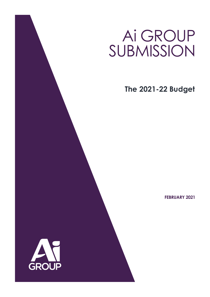# Ai GROUP SUBMISSION

**The 2021-22 Budget**

**FEBRUARY 2021**

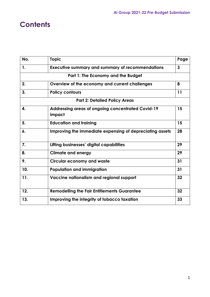# **Contents**

| No.                                  | <b>Topic</b>                                                       | Page         |
|--------------------------------------|--------------------------------------------------------------------|--------------|
| 1.                                   | <b>Executive summary and summary of recommendations</b>            | $\mathbf{3}$ |
|                                      | Part 1: The Economy and the Budget                                 |              |
| 2.                                   | Overview of the economy and current challenges                     | 8            |
| 3.                                   | <b>Policy contours</b>                                             | 11           |
| <b>Part 2: Detailed Policy Areas</b> |                                                                    |              |
| 4.                                   | <b>Addressing areas of ongoing concentrated Covid-19</b><br>impact | 15           |
| 5.                                   | <b>Education and training</b>                                      | 15           |
| 6.                                   | Improving the immediate expensing of depreciating assets           | 28           |
| 7.                                   | Lifting businesses' digital capabilities                           | 29           |
| 8.                                   | <b>Climate and energy</b>                                          | 29           |
| 9.                                   | <b>Circular economy and waste</b>                                  | 31           |
| 10.                                  | <b>Population and immigration</b>                                  | 31           |
| 11.                                  | Vaccine nationalism and regional support                           | 32           |
| 12.                                  | <b>Remodelling the Fair Entitlements Guarantee</b>                 | 32           |
| 13.                                  | Improving the integrity of tobacco taxation                        | 33           |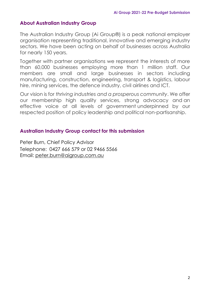# **About Australian Industry Group**

The Australian Industry Group (Ai Group®) is a peak national employer organisation representing traditional, innovative and emerging industry sectors. We have been acting on behalf of businesses across Australia for nearly 150 years.

Together with partner organisations we represent the interests of more than 60,000 businesses employing more than 1 million staff. Our members are small and large businesses in sectors including manufacturing, construction, engineering, transport & logistics, labour hire, mining services, the defence industry, civil airlines and ICT.

Our vision is for *thriving industries and a prosperous community*. We offer our membership high quality services, strong advocacy and an effective voice at all levels of government underpinned by our respected position of policy leadership and political non-partisanship.

# **Australian Industry Group contact for this submission**

Peter Burn, Chief Policy Advisor Telephone: 0427 666 579 or 02 9466 5566 Email: [peter.burn@aigroup.com.au](mailto:peter.burn@aigroup.com.au)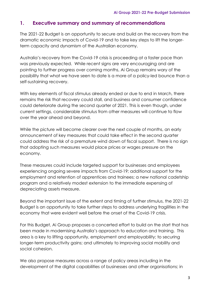### **1. Executive summary and summary of recommendations**

The 2021-22 Budget is an opportunity to secure and build on the recovery from the dramatic economic impacts of Covid-19 and to take key steps to lift the longerterm capacity and dynamism of the Australian economy.

Australia's recovery from the Covid-19 crisis is proceeding at a faster pace than was previously expected. While recent signs are very encouraging and are pointing to further progress over coming months, Ai Group remains wary of the possibility that what we have seen to date is a more of a policy-led bounce than a self-sustaining recovery.

With key elements of fiscal stimulus already ended or due to end in March, there remains the risk that recovery could stall, and business and consumer confidence could deteriorate during the second quarter of 2021. This is even though, under current settings, considerable stimulus from other measures will continue to flow over the year ahead and beyond.

While the picture will become clearer over the next couple of months, an early announcement of key measures that could take effect in the second quarter could address the risk of a premature wind down of fiscal support. There is no sign that adopting such measures would place prices or wages pressure on the economy.

These measures could include targeted support for businesses and employees experiencing ongoing severe impacts from Covid-19; additional support for the employment and retention of apprentices and trainees; a new national cadetship program and a relatively modest extension to the immediate expensing of depreciating assets measure.

Beyond the important issue of the extent and timing of further stimulus, the 2021-22 Budget is an opportunity to take further steps to address underlying fragilities in the economy that were evident well before the onset of the Covid-19 crisis.

For this Budget, Ai Group proposes a concerted effort to build on the start that has been made in modernising Australia's approach to education and training. This area is a key to lifting opportunity, employment and employability; to securing longer-term productivity gains; and ultimately to improving social mobility and social cohesion.

We also propose measures across a range of policy areas including in the development of the digital capabilities of businesses and other organisations; in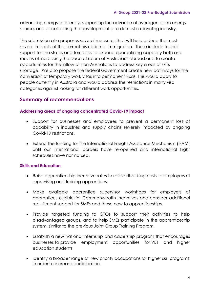advancing energy efficiency; supporting the advance of hydrogen as an energy source; and accelerating the development of a domestic recycling industry.

The submission also proposes several measures that will help reduce the most severe impacts of the current disruption to immigration. These include federal support for the states and territories to expand quarantining capacity both as a means of increasing the pace of return of Australians abroad and to create opportunities for the inflow of non-Australians to address key areas of skills shortage. We also propose the federal Government create new pathways for the conversion of temporary work visas into permanent visas. This would apply to people currently in Australia and would address the restrictions in many visa categories against looking for different work opportunities.

## **Summary of recommendations**

#### **Addressing areas of ongoing concentrated Covid-19 impact**

- Support for businesses and employees to prevent a permanent loss of capability in industries and supply chains severely impacted by ongoing Covid-19 restrictions.
- Extend the funding for the International Freight Assistance Mechanism (IFAM) until our international borders have re-opened and international flight schedules have normalised.

#### **Skills and Education**

- Raise apprenticeship incentive rates to reflect the rising costs to employers of supervising and training apprentices.
- Make available apprentice supervisor workshops for employers of apprentices eligible for Commonwealth incentives and consider additional recruitment support for SMEs and those new to apprenticeships.
- Provide targeted funding to GTOs to support their activities to help disadvantaged groups, and to help SMEs participate in the apprenticeship system, similar to the previous Joint Group Training Program.
- Establish a new national internship and cadetship program that encourages businesses to provide employment opportunities for VET and higher education students.
- Identify a broader range of new priority occupations for higher skill programs in order to increase participation.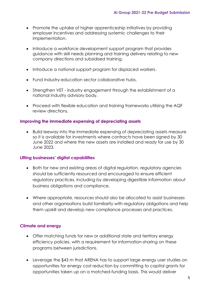- Promote the uptake of higher apprenticeship initiatives by providing employer incentives and addressing systemic challenges to their implementation.
- Introduce a workforce development support program that provides guidance with skill needs planning and training delivery relating to new company directions and subsidised training.
- Introduce a national support program for displaced workers.
- Fund Industry-education sector collaborative hubs.
- Strengthen VET industry engagement through the establishment of a national industry advisory body.
- Proceed with flexible education and training frameworks utilising the AQF review directions.

#### **Improving the immediate expensing of depreciating assets**

• Build leeway into the immediate expensing of depreciating assets measure so it is available for investments where contracts have been signed by 30 June 2022 and where the new assets are installed and ready for use by 30 June 2023.

#### **Lifting businesses' digital capabilities**

- Both for new and existing areas of digital regulation, regulatory agencies should be sufficiently resourced and encouraged to ensure efficient regulatory practices, including by developing digestible information about business obligations and compliance.
- Where appropriate, resources should also be allocated to assist businesses and other organisations build familiarity with regulatory obligations and help them upskill and develop new compliance processes and practices.

#### **Climate and energy**

- Offer matching funds for new or additional state and territory energy efficiency policies, with a requirement for information-sharing on these programs between jurisdictions.
- Leverage the \$43 m that ARENA has to support large energy user studies on opportunities for energy cost reduction by committing to capital grants for opportunities taken up on a matched-funding basis. This would deliver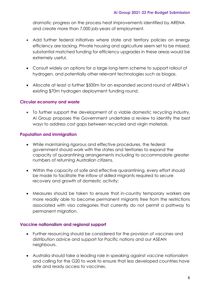dramatic progress on the process heat improvements identified by ARENA and create more than 7,000 job-years of employment.

- Add further federal initiatives where state and territory policies on energy efficiency are lacking. Private housing and agriculture seem set to be missed; substantial matched funding for efficiency upgrades in these areas would be extremely useful.
- Consult widely on options for a large long-term scheme to support rollout of hydrogen, and potentially other relevant technologies such as biogas.
- Allocate at least a further \$500m for an expanded second round of ARENA's existing \$70m hydrogen deployment funding round.

#### **Circular economy and waste**

• To further support the development of a viable domestic recycling industry, Ai Group proposes the Government undertake a review to identify the best ways to address cost gaps between recycled and virgin materials.

#### **Population and immigration**

- While maintaining rigorous and effective procedures, the federal government should work with the states and territories to expand the capacity of quarantining arrangements including to accommodate greater numbers of returning Australian citizens.
- Within the capacity of safe and effective quarantining, every effort should be made to facilitate the inflow of skilled migrants required to secure recovery and growth of domestic activity;
- Measures should be taken to ensure that in-country temporary workers are more readily able to become permanent migrants free from the restrictions associated with visa categories that currently do not permit a pathway to permanent migration.

#### **Vaccine nationalism and regional support**

- Further resourcing should be considered for the provision of vaccines and distribution advice and support for Pacific nations and our ASEAN neighbours.
- Australia should take a leading role in speaking against vaccine nationalism and calling for the G20 to work to ensure that less developed countries have safe and ready access to vaccines.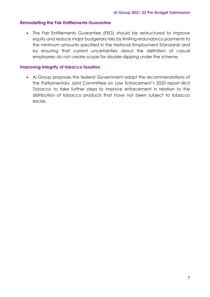#### **Remodelling the Fair Entitlements Guarantee**

• The Fair Entitlements Guarantee (FEG) should be restructured to improve equity and reduce major budgetary risks by limiting redundancy payments to the minimum amounts specified in the National Employment Standards and by ensuring that current uncertainties about the definition of casual employees do not create scope for double-dipping under the scheme.

#### **Improving integrity of tobacco taxation**

• Ai Group proposes the federal Government adopt the recommendations of the Parliamentary Joint Committee on Law Enforcement's 2020 report *Illicit Tobacco* to take further steps to improve enforcement in relation to the distribution of tobacco products that have not been subject to tobacco excise.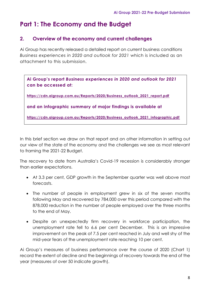# **Part 1: The Economy and the Budget**

# **2. Overview of the economy and current challenges**

Ai Group has recently released a detailed report on current business conditions *Business experiences in 2020 and outlook for 2021* which is included as an attachment to this submission.

**Ai Group's report** *Business experiences in 2020 and outlook for 2021* **can be accessed at:**

**[https://cdn.aigroup.com.au/Reports/2020/Business\\_outlook\\_2021\\_report.pdf](https://cdn.aigroup.com.au/Reports/2020/Business_outlook_2021_report.pdf)**

**and an infographic summary of major findings is available at**

**[https://cdn.aigroup.com.au/Reports/2020/Business\\_outlook\\_2021\\_infographic.pdf](https://cdn.aigroup.com.au/Reports/2020/Business_outlook_2021_infographic.pdf)**

In this brief section we draw on that report and on other information in setting out our view of the state of the economy and the challenges we see as most relevant to framing the 2021-22 Budget.

The recovery to date from Australia's Covid-19 recession is considerably stronger than earlier expectations.

- At 3.3 per cent, GDP growth in the September quarter was well above most forecasts.
- The number of people in employment grew in six of the seven months following May and recovered by 784,000 over this period compared with the 878,000 reduction in the number of people employed over the three months to the end of May.
- Despite an unexpectedly firm recovery in workforce participation, the unemployment rate fell to 6.6 per cent December. This is an impressive improvement on the peak of 7.5 per cent reached in July and well shy of the mid-year fears of the unemployment rate reaching 10 per cent.

Ai Group's measures of business performance over the course of 2020 (Chart 1) record the extent of decline and the beginnings of recovery towards the end of the year (measures of over 50 indicate growth).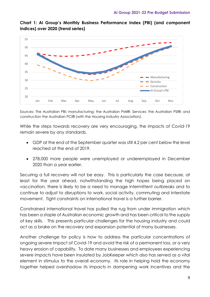

**Chart 1: Ai Group's Monthly Business Performance Index (PBI) (and component indices) over 2020 (trend series)**

Sources: The Australian PBI; manufacturing: the Australian PMI®: Services: the Australian PSI®; and construction the Australian PCI® (with the Housing Industry Association).

While the steps towards recovery are very encouraging, the impacts of Covid-19 remain severe by any standards.

- GDP at the end of the September quarter was still 4.2 per cent below the level reached at the end of 2019.
- 278,000 more people were unemployed or underemployed in December 2020 than a year earlier.

Securing a full recovery will not be easy. This is particularly the case because, at least for the year ahead, notwithstanding the high hopes being placed on vaccination, there is likely to be a need to manage intermittent outbreaks and to continue to adjust to disruptions to work, social activity, commuting and interstate movement. Tight constraints on international travel is a further barrier.

Constrained international travel has pulled the rug from under immigration which has been a staple of Australian economic growth and has been critical to the supply of key skills. This presents particular challenges for the housing industry and could act as a brake on the recovery and expansion potential of many businesses.

Another challenge for policy is how to address the particular concentrations of ongoing severe impact of Covid-19 and avoid the risk of a permanent loss, or a very heavy erosion of capability. To date many businesses and employees experiencing severe impacts have been insulated by JobKeeper which also has served as a vital element in stimulus to the overall economy. Its role in helping hold the economy together helped overshadow its impacts in dampening work incentives and the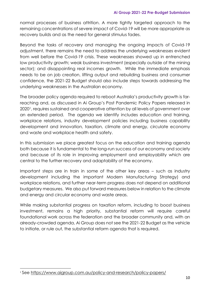normal processes of business attrition. A more tightly targeted approach to the remaining concentrations of severe impact of Covid-19 will be more appropriate as recovery builds and as the need for general stimulus fades.

Beyond the tasks of recovery and managing the ongoing impacts of Covid-19 adjustment, there remains the need to address the underlying weaknesses evident from well before the Covid-19 crisis. These weaknesses showed up in entrenched low productivity growth; weak business investment (especially outside of the mining sector); and disappointing real incomes growth. While the immediate emphasis needs to be on job creation, lifting output and rebuilding business and consumer confidence, the 2021-22 Budget should also include steps towards addressing the underlying weaknesses in the Australian economy.

The broader policy agenda required to reboot Australia's productivity growth is farreaching and, as discussed in Ai Group's Post Pandemic Policy Papers released in 20201, requires sustained and cooperative attention by all levels of government over an extended period. The agenda we identify includes education and training, workplace relations, industry development policies including business capability development and innovation, taxation, climate and energy, circulate economy and waste and workplace health and safety.

In this submission we place greatest focus on the education and training agenda both because it is fundamental to the long-run success of our economy and society and because of its role in improving employment and employability which are central to the further recovery and adaptability of the economy.

Important steps are in train in some of the other key areas – such as industry development including the important Modern Manufacturing Strategy) and workplace relations, and further near-term progress does not depend on additional budgetary measures. We also put forward measures below in relation to the climate and energy and circular economy and waste areas.

While making substantial progress on taxation reform, including to boost business investment, remains a high priority, substantial reform will require careful foundational work across the federation and the broader community and, with an already-crowded agenda, Ai Group does not see the 2021-22 Budget as the vehicle to initiate, or rule out, the substantial reform agenda that is required.

<sup>1</sup> See <https://www.aigroup.com.au/policy-and-research/policy-papers/>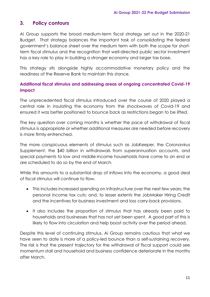# **3. Policy contours**

Ai Group supports the broad medium-term fiscal strategy set out in the 2020-21 Budget. That strategy balances the important task of consolidating the federal government's balance sheet over the medium term with both the scope for shortterm fiscal stimulus and the recognition that well-directed public sector investment has a key role to play in building a stronger economy and larger tax base.

This strategy sits alongside highly accommodative monetary policy and the readiness of the Reserve Bank to maintain this stance.

## **Additional fiscal stimulus and addressing areas of ongoing concentrated Covid-19 impact**

The unprecedented fiscal stimulus introduced over the course of 2020 played a central role in insulating the economy from the shockwaves of Covid-19 and ensured it was better positioned to bounce back as restrictions began to be lifted.

The key question over coming months is whether the pace of withdrawal of fiscal stimulus is appropriate or whether additional measures are needed before recovery is more firmly entrenched.

The more conspicuous elements of stimulus such as JobKeeper, the Coronavirus Supplement, the \$40 billion in withdrawals from superannuation accounts, and special payments to low and middle-income households have come to an end or are scheduled to do so by the end of March.

While this amounts to a substantial drop of inflows into the economy, a good deal of fiscal stimulus will continue to flow.

- This includes increased spending on infrastructure over the next few years; the personal income tax cuts; and, to lesser extents the JobMaker Hiring Credit and the incentives for business investment and loss carry-back provisions.
- It also includes the proportion of stimulus that has already been paid to households and businesses that has not yet been spent. A good part of this is likely to flow into circulation and help boost activity over the period ahead.

Despite this level of continuing stimulus, Ai Group remains cautious that what we have seen to date is more of a policy-led bounce than a self-sustaining recovery. The risk is that the present trajectory for the withdrawal of fiscal support could see momentum stall and household and business confidence deteriorate in the months after March.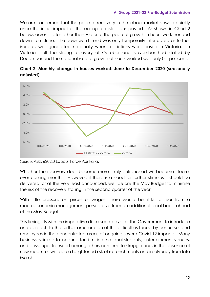We are concerned that the pace of recovery in the labour market slowed quickly once the initial impact of the easing of restrictions passed. As shown in Chart 2 below, across states other than Victoria, the pace of growth in hours work trended down from June. The downward trend was only temporarily interrupted as further impetus was generated nationally when restrictions were eased in Victoria. In Victoria itself the strong recovery of October and November had stalled by December and the national rate of growth of hours worked was only 0.1 per cent.



**Chart 2: Monthly change in houses worked: June to December 2020 (seasonally adjusted)**

Source: ABS, 6202.0 Labour Force Australia.

Whether the recovery does become more firmly entrenched will become clearer over coming months. However, if there is a need for further stimulus it should be delivered, or at the very least announced, well before the May Budget to minimise the risk of the recovery stalling in the second quarter of the year.

With little pressure on prices or wages, there would be little to fear from a macroeconomic management perspective from an additional fiscal boost ahead of the May Budget.

This timing fits with the imperative discussed above for the Government to introduce an approach to the further amelioration of the difficulties faced by businesses and employees in the concentrated areas of ongoing severe Covid-19 impacts. Many businesses linked to inbound tourism, international students, entertainment venues, and passenger transport among others continue to struggle and, in the absence of new measures will face a heightened risk of retrenchments and insolvency from late March.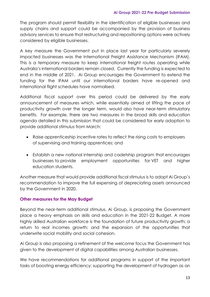The program should permit flexibility in the identification of eligible businesses and supply chains and support could be accompanied by the provision of business advisory services to ensure that restructuring and repositioning options were actively considered by eligible businesses.

A key measure the Government put in place last year for particularly severely impacted businesses was the International Freight Assistance Mechanism (IFAM). This is a temporary measure to keep international freight routes operating while Australia's international borders remain closed. Currently the funding is expected to end in the middle of 2021. Ai Group encourages the Government to extend the funding for the IFAM until our international borders have re-opened and international flight schedules have normalised.

Additional fiscal support over this period could be delivered by the early announcement of measures which, while essentially aimed at lifting the pace of productivity growth over the longer term, would also have near-term stimulatory benefits. For example, there are two measures in the broad skills and education agenda detailed in this submission that could be considered for early adoption to provide additional stimulus from March:

- Raise apprenticeship incentive rates to reflect the rising costs to employers of supervising and training apprentices; and
- Establish a new national internship and cadetship program that encourages businesses to provide employment opportunities for VET and higher education students.

Another measure that would provide additional fiscal stimulus is to adopt Ai Group's recommendation to improve the full expensing of depreciating assets announced by the Government in 2020.

#### **Other measures for the May Budget**

Beyond the near-term additional stimulus, Ai Group, is proposing the Government place a heavy emphasis on skills and education in the 2021-22 Budget. A more highly skilled Australian workforce is the foundation of future productivity growth; a return to real incomes growth; and the expansion of the opportunities that underwrite social mobility and social cohesion.

Ai Group is also proposing a refinement of the welcome focus the Government has given to the development of digital capabilities among Australian businesses.

We have recommendations for additional programs in support of the important tasks of boosting energy efficiency; supporting the development of hydrogen as an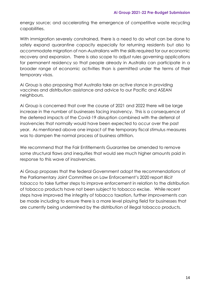energy source; and accelerating the emergence of competitive waste recycling capabilities.

With immigration severely constrained, there is a need to do what can be done to safely expand quarantine capacity especially for returning residents but also to accommodate migration of non-Australians with the skills required for our economic recovery and expansion. There is also scope to adjust rules governing applications for permanent residency so that people already in Australia can participate in a broader range of economic activities than is permitted under the terms of their temporary visas.

Ai Group is also proposing that Australia take an active stance in providing vaccines and distribution assistance and advice to our Pacific and ASEAN neighbours.

Ai Group is concerned that over the course of 2021 and 2022 there will be large increase in the number of businesses facing insolvency. This is a consequence of the deferred impacts of the Covid-19 disruption combined with the deferral of insolvencies that normally would have been expected to occur over the past year. As mentioned above one impact of the temporary fiscal stimulus measures was to dampen the normal process of business attrition.

We recommend that the Fair Entitlements Guarantee be amended to remove some structural flaws and inequities that would see much higher amounts paid in response to this wave of insolvencies.

Ai Group proposes that the federal Government adopt the recommendations of the Parliamentary Joint Committee on Law Enforcement's 2020 report *Illicit tobacco* to take further steps to improve enforcement in relation to the distribution of tobacco products have not been subject to tobacco excise. While recent steps have improved the integrity of tobacco taxation, further improvements can be made including to ensure there is a more level playing field for businesses that are currently being undermined by the distribution of illegal tobacco products.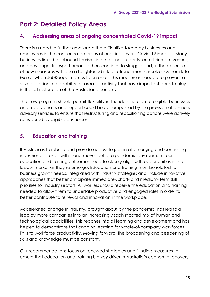# **Part 2: Detailed Policy Areas**

# **4. Addressing areas of ongoing concentrated Covid-19 impact**

There is a need to further ameliorate the difficulties faced by businesses and employees in the concentrated areas of ongoing severe Covid-19 impact. Many businesses linked to inbound tourism, international students, entertainment venues, and passenger transport among others continue to struggle and, in the absence of new measures will face a heightened risk of retrenchments, insolvency from late March when JobKeeper comes to an end. This measure is needed to prevent a severe erosion of capability for areas of activity that have important parts to play in the full restoration of the Australian economy.

The new program should permit flexibility in the identification of eligible businesses and supply chains and support could be accompanied by the provision of business advisory services to ensure that restructuring and repositioning options were actively considered by eligible businesses.

# **5. Education and training**

If Australia is to rebuild and provide access to jobs in all emerging and continuing industries as it exists within and moves out of a pandemic environment, our education and training outcomes need to closely align with opportunities in the labour market as they re-emerge. Education and training must be related to business growth needs, integrated with industry strategies and include innovative approaches that better anticipate immediate-, short- and medium- term skill priorities for industry sectors. All workers should receive the education and training needed to allow them to undertake productive and engaged roles in order to better contribute to renewal and innovation in the workplace.

Accelerated change in industry, brought about by the pandemic, has led to a leap by more companies into an increasingly sophisticated mix of human and technological capabilities. This reaches into all learning and development and has helped to demonstrate that ongoing learning for whole-of-company workforces links to workforce productivity. Moving forward, the broadening and deepening of skills and knowledge must be constant.

Our recommendations focus on renewed strategies and funding measures to ensure that education and training is a key driver in Australia's economic recovery.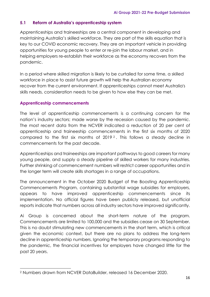#### **5.1 Reform of Australia's apprenticeship system**

Apprenticeships and traineeships are a central component in developing and maintaining Australia's skilled workforce. They are part of the skills equation that is key to our COVID economic recovery. They are an important vehicle in providing opportunities for young people to enter or re-join the labour market, and in helping employers re-establish their workforce as the economy recovers from the pandemic.

In a period where skilled migration is likely to be curtailed for some time, a skilled workforce in place to assist future growth will help the Australian economy recover from the current environment. If apprenticeships cannot meet Australia's skills needs, consideration needs to be given to how else they can be met.

#### **Apprenticeship commencements**

The level of apprenticeship commencements is a continuing concern for the nation's industry sectors; made worse by the recession caused by the pandemic. The most recent data from the NCVER indicated a reduction of 20 per cent of apprenticeship and traineeship commencements in the first six months of 2020 compared to the first six months of 2019 <sup>2</sup> . This follows a steady decline in commencements for the past decade.

Apprenticeships and traineeships are important pathways to good careers for many young people, and supply a steady pipeline of skilled workers for many industries. Further shrinking of commencement numbers will restrict career opportunities and in the longer term will create skills shortages in a range of occupations.

The announcement in the October 2020 Budget of the Boosting Apprenticeship Commencements Program, containing substantial wage subsidies for employers, appears to have improved apprenticeship commencements since its implementation. No official figures have been publicly released, but unofficial reports indicate that numbers across all industry sectors have improved significantly.

Ai Group is concerned about the short-term nature of the program. Commencements are limited to 100,000 and the subsidies cease on 30 September. This is no doubt stimulating new commencements in the short term, which is critical given the economic context, but there are no plans to address the long-term decline in apprenticeship numbers. Ignoring the temporary programs responding to the pandemic, the financial incentives for employers have changed little for the past 20 years.

<sup>2</sup> Numbers drawn from NCVER DataBuilder, released 16 December 2020.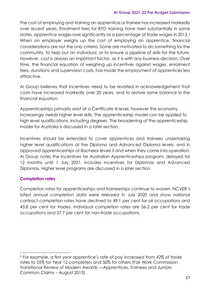The cost of employing and training an apprentice or trainee has increased markedly over recent years. Enrolment fees for RTO training have risen substantially in some states, apprentice wages rose significantly as a percentage of trade wages in 2013,<sup>3</sup> When an employer weighs up the cost of employing an apprentice, financial considerations are not the only criteria. Some are motivated to do something for the community, to help out an individual, or to ensure a pipeline of skills for the future. However, cost is always an important factor, as it is with any business decision. Over time, the financial equation of weighing up incentives against wages, enrolment fees, durations and supervision costs, has made the employment of apprentices less attractive.

Ai Group believes that incentives need to be revisited in acknowledgement that costs have increased markedly over 20 years, and to restore some balance in the financial equation.

Apprenticeships primarily exist at a Certificate III level, however the economy increasingly needs higher level skills. The apprenticeship model can be applied to high level qualifications, including degrees. The broadening of the apprenticeship model for Australia is discussed in a later section.

Incentives should be extended to cover apprentices and trainees undertaking higher level qualifications at the Diploma and Advanced Diploma levels, and in approved apprenticeships at Bachelor levels if and when they come into operation. Ai Group notes the Incentives for Australian Apprenticeships program, delayed for 12 months until 1 July 2021, includes incentives for Diplomas and Advanced Diplomas. Higher level programs are discussed in a later section.

#### **Completion rates**

Completion rates for apprenticeships and traineeships continue to worsen. NCVER's latest annual completion data were released in July 2020 and show national contract completion rates have declined to 49.1 per cent for all occupations and 43.8 per cent for trades. Individual completion rates are 56.2 per cent for trade occupations and 57.7 per cent for non-trade occupations.

<sup>3</sup> For example, a first year apprentice's rate of pay increased from 42% of trade rates to 55% for Year 12 completers and 50% for others (Fair Work Commission Transitional Review of Modern Awards —Apprentices, Trainees and Juniors: Common Claims – August 2013).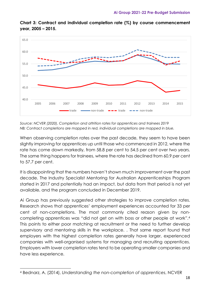

**Chart 3: Contract and individual completion rate (%) by course commencement year, 2005 – 2015.**

*Source: NCVER (2020), Completion and attrition rates for apprentices and trainees 2019 NB: Contract completions are mapped in red, individual completions are mapped in blue.* 

When observing completion rates over the past decade, they seem to have been slightly improving for apprentices up until those who commenced in 2012, where the rate has come down markedly, from 58.8 per cent to 54.5 per cent over two years. The same thing happens for trainees, where the rate has declined from 60.9 per cent to 57.7 per cent.

It is disappointing that the numbers haven't shown much improvement over the past decade. The Industry Specialist Mentoring for Australian Apprenticeships Program started in 2017 and potentially had an impact, but data from that period is not yet available, and the program concluded in December 2019.

Ai Group has previously suggested other strategies to improve completion rates. Research shows that apprentices' employment experiences accounted for 33 per cent of non-completions. The most commonly cited reason given by noncompleting apprentices was "did not get on with boss or other people at work".<sup>4</sup> This points to either poor matching at recruitment or the need to further develop supervisory and mentoring skills in the workplace. . That same report found that employers with the highest completion rates generally have larger, experienced companies with well-organised systems for managing and recruiting apprentices. Employers with lower completion rates tend to be operating smaller companies and have less experience.

<sup>4</sup> Bednarz, A. (2014), *Understanding the non-completion of apprentices*, NCVER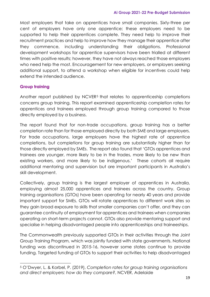Most employers that take on apprentices have small companies. Sixty-three per cent of employers have only one apprentice; these employers need to be supported to help their apprentices complete. They need help to improve their recruitment practices and help to improve how they manage their apprentice after they commence, including understanding their obligations. Professional development workshops for apprentice supervisors have been trialled at different times with positive results; however, they have not always reached those employers who need help the most. Encouragement for new employers, or employers seeking additional support, to attend a workshop when eligible for incentives could help extend the intended audience.

### **Group training**

Another report published by NCVER<sup>5</sup> that relates to apprenticeship completions concerns group training. This report examined apprenticeship completion rates for apprentices and trainees employed through group training compared to those directly employed by a business.

The report found that for non-trade occupations, group training has a better completion rate than for those employed directly by both SME and large employers. For trade occupations, large employers have the highest rate of apprentice completions, but completions for group training are substantially higher than for those directly employed by SMEs. The report also found that 'GTOs apprentices and trainees are younger, more likely to be in the trades, more likely to be new than existing workers, and more likely to be indigenous.' These cohorts all require additional mentoring and supervision but are important participants in Australia's skill development.

Collectively, group training is the largest employer of apprentices in Australia, employing almost 25,000 apprentices and trainees across the country. Group training organisations (GTOs) have been operating for nearly 40 years and provide important support for SMEs. GTOs will rotate apprentices to different work sites so they gain broad exposure to skills that smaller companies can't offer, and they can guarantee continuity of employment for apprentices and trainees when companies operating on short-term projects cannot. GTOs also provide mentoring support and specialise in helping disadvantaged people into apprenticeships and traineeships.

The Commonwealth previously supported GTOs in their activities through the Joint Group Training Program, which was jointly funded with state governments. National funding was discontinued in 2015-16, however some states continue to provide funding. Targeted funding of GTOs to support their activities to help disadvantaged

<sup>5</sup> O'Dwyer, L. & Korbel, P. (2019), *Completion rates for group training organisations and direct employers: how do they compare?*, NCVER, Adelaide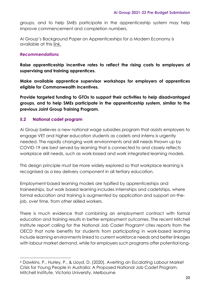groups, and to help SMEs participate in the apprenticeship system may help improve commencement and completion numbers.

Ai Group's Background Paper on Apprenticeships for a Modern Economy is available at this [link.](https://cdn.aigroup.com.au/Reports/2020/Apprenticeship_Model_for_modern_economy_25Nov.pdf?_cldee=YW5uZS55b3VuZ2VyQGFpZ3JvdXAuY29tLmF1&recipientid=contact-435eae2cea5d4e10b2b8fa13dff26afd-0155b0d72869465290702be6a313125f&esid=afcc7b16-ba2e-eb11-a813-000d3a6aacaf)

#### *Recommendations*

**Raise apprenticeship incentive rates to reflect the rising costs to employers of supervising and training apprentices.**

**Make available apprentice supervisor workshops for employers of apprentices eligible for Commonwealth incentives.**

**Provide targeted funding to GTOs to support their activities to help disadvantaged groups, and to help SMEs participate in the apprenticeship system, similar to the previous Joint Group Training Program.**

#### **5.2 National cadet program**

Ai Group believes a new national wage subsidies program that assists employers to engage VET and higher education students as cadets and interns is urgently needed. The rapidly changing work environments and skill needs thrown up by COVID-19 are best served by learning that is connected to and closely reflects workplace skill needs, such as work-based and work integrated learning models.

This design principle must be more widely explored so that workplace learning is recognised as a key delivery component in all tertiary education.

Employment-based learning models are typified by apprenticeships and traineeships, but work based learning includes internships and cadetships, where formal education and training is augmented by application and support on-thejob, over time, from other skilled workers.

There is much evidence that combining an employment contract with formal education and training results in better employment outcomes. The recent Mitchell Institute report calling for the National Job Cadet Program<sup>6</sup> cites reports from the OECD that note benefits for students from participating in work-based learning include learning environments linked to current workforce needs and better linkages with labour market demand, while for employers such programs offer potential long-

<sup>6</sup> Dawkins, P., Hurley, P., & Lloyd, D. (2020). Averting an Escalating Labour Market Crisis for Young People in Australia: A Proposed National Job Cadet Program. Mitchell Institute, Victoria University. Melbourne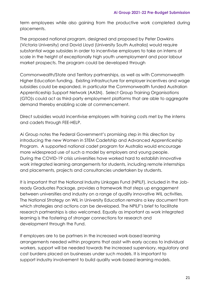term employees while also gaining from the productive work completed during placements.

The proposed national program, designed and proposed by Peter Dawkins (Victoria University) and David Lloyd (University South Australia) would require substantial wage subsides in order to incentivise employers to take on interns at scale in the height of exceptionally high youth unemployment and poor labour market prospects. The program could be developed through

Commonwealth/State and Territory partnerships, as well as with Commonwealth Higher Education funding. Existing infrastructure for employer incentives and wage subsidies could be expanded, in particular the Commonwealth funded Australian Apprenticeship Support Network (AASN). Select Group Training Organisations (GTO)s could act as third-party employment platforms that are able to aggregate demand thereby enabling scale at commencement.

Direct subsidies would incentivise employers with training costs met by the interns and cadets through FEE-HELP.

Ai Group notes the Federal Government's promising step in this direction by introducing the new Women in STEM Cadetship and Advanced Apprenticeship Program. A supported national cadet program for Australia would encourage more widespread use of such a model by employers and young people. During the COVID-19 crisis universities have worked hard to establish innovative work integrated learning arrangements for students, including remote internships and placements, projects and consultancies undertaken by students.

It is important that the National Industry Linkages Fund (NPILF), included in the Jobready Graduates Package, provides a framework that steps up engagement between universities and industry on a range of quality innovative WIL activities. The National Strategy on WIL in University Education remains a key document from which strategies and actions can be developed. The NPILF's brief to facilitate research partnerships is also welcomed. Equally as important as work integrated learning is the fostering of stronger connections for research and development through the Fund.

If employers are to be partners in the increased work-based learning arrangements needed within programs that assist with early access to individual workers, support will be needed towards the increased supervisory, regulatory and cost burdens placed on businesses under such models. It is important to support industry involvement to build quality work-based learning models.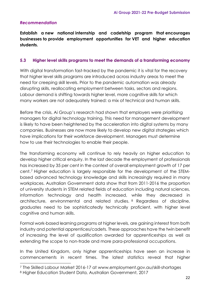#### *Recommendation*

**Establish a new national internship and cadetship program that encourages businesses to provide employment opportunities for VET and higher education students.**

#### **5.3 Higher level skills programs to meet the demands of a transforming economy**

With digital transformation fast-tracked by the pandemic it is vital for the recovery that higher level skills programs are introduced across industry areas to meet the need for creeping skill levels. Prior to the pandemic automation was already disrupting skills, reallocating employment between tasks, sectors and regions. Labour demand is shifting towards higher level, more cognitive skills for which many workers are not adequately trained: a mix of technical and human skills.

Before the crisis, Ai Group's research had shown that employers were prioritising managers for digital technology training. This need for management development is likely to have been heightened by the acceleration into digital systems by many companies. Businesses are now more likely to develop new digital strategies which have implications for their workforce development. Managers must determine how to use their technologies to enable their people.

The transforming economy will continue to rely heavily on higher education to develop higher critical enquiry. In the last decade the employment of professionals has increased by 35 per cent in the context of overall employment growth of 17 per cent.<sup>7</sup> Higher education is largely responsible for the development of the STEMbased advanced technology knowledge and skills increasingly required in many workplaces. Australian Government data show that from 2011-2016 the proportion of university students in STEM related fields of education including natural sciences, information technology and health increased, while they decreased in architecture, environmental and related studies. <sup>8</sup> Regardless of discipline, graduates need to be sophisticatedly technically proficient, with higher level cognitive and human skills.

Formal work-based learning programs at higher levels, are gaining interest from both industry and potential apprentices/cadets. These approaches have the twin benefit of increasing the level of qualification awarded for apprenticeships as well as extending the scope to non-trade and more para-professional occupations.

In the United Kingdom, only higher apprenticeships have seen an increase in commencements in recent times. The latest statistics reveal that higher

<sup>7</sup> The Skilled Labour Market 2016-17 at www.employment.gov.au/skill-shortages <sup>8</sup> Higher Education Student Data, Australian Government, 2017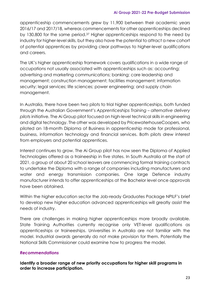apprenticeship commencements grew by 11,900 between their academic years 2016/17 and 2017/18, whereas commencements for other apprenticeships declined by 130,800 for the same period.<sup>37</sup> Higher apprenticeships respond to the need by industry for higher-level skills, but they also have the potential to attract a new cohort of potential apprentices by providing clear pathways to higher-level qualifications and careers.

The UK's higher apprenticeship framework covers qualifications in a wide range of occupations not usually associated with apprenticeships such as: accounting; advertising and marketing communications; banking; care leadership and management; construction management; facilities management; information security; legal services; life sciences; power engineering; and supply chain management.

In Australia, there have been two pilots to trial higher apprenticeships, both funded through the Australian Government's *Apprenticeships Training – alternative delivery pilots* initiative. The Ai Group pilot focused on high-level technical skills in engineering and digital technology. The other was developed by PricewaterhouseCoopers, who piloted an 18-month Diploma of Business in apprenticeship mode for professional, business, information technology and financial services. Both pilots drew interest from employers and potential apprentices.

Interest continues to grow. The Ai Group pilot has now seen the Diploma of Applied Technologies offered as a traineeship in five states. In South Australia at the start of 2021, a group of about 20 school leavers are commencing formal training contracts to undertake the Diploma with a range of companies including manufacturers and water and energy transmission companies. One large Defence industry manufacturer intends to offer apprenticeships at the Bachelor level once approvals have been obtained.

Within the higher education sector the Job-ready Graduates Package NPILF's brief to develop new higher education advanced apprenticeships will greatly assist the needs of industry.

There are challenges in making higher apprenticeships more broadly available. State Training Authorities currently recognise only VET-level qualifications as apprenticeships or traineeships. Universities in Australia are not familiar with the model. Industrial awards generally do not make provision for them. Potentially the National Skills Commissioner could examine how to progress the model.

#### *Recommendations*

**Identify a broader range of new priority occupations for higher skill programs in order to increase participation.**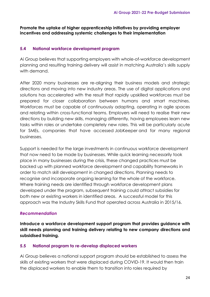#### **Promote the uptake of higher apprenticeship initiatives by providing employer incentives and addressing systemic challenges to their implementation**

#### **5.4 National workforce development program**

Ai Group believes that supporting employers with whole-of-workforce development planning and resulting training delivery will assist in matching Australia's skills supply with demand.

After 2020 many businesses are re-aligning their business models and strategic directions and moving into new industry areas. The use of digital applications and solutions has accelerated with the result that rapidly upskilled workforces must be prepared for closer collaboration between humans and smart machines. Workforces must be capable of continuously adapting, operating in agile spaces and relating within cross-functional teams. Employers will need to realise their new directions by building new skills, managing differently, having employees learn new tasks within roles or undertake completely new roles. This will be particularly acute for SMEs, companies that have accessed JobKeeper and for many regional businesses.

Support is needed for the large investments in continuous workforce development that now need to be made by businesses. While quick learning necessarily took place in many businesses during the crisis, these changed practices must be backed up with planned workforce development and capability frameworks in order to match skill development in changed directions. Planning needs to recognise and incorporate ongoing learning for the whole of the workforce. Where training needs are identified through workforce development plans developed under the program, subsequent training could attract subsidies for both new or existing workers in identified areas. A successful model for this approach was the Industry Skills Fund that operated across Australia in 2015/16.

#### *Recommendation*

**Introduce a workforce development support program that provides guidance with skill needs planning and training delivery relating to new company directions and subsidised training.**

#### **5.5 National program to re-develop displaced workers**

Ai Group believes a national support program should be established to assess the skills of existing workers that were displaced during COVID-19. It would then train the displaced workers to enable them to transition into roles required by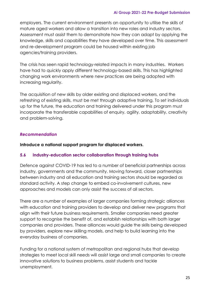employers. The current environment presents an opportunity to utilise the skills of mature aged workers and allow a transition into new roles and industry sectors. Assessment must assist them to demonstrate how they can adapt by applying the knowledge, skills and capabilities they have developed over time. This assessment and re-development program could be housed within existing job agencies/training providers.

The crisis has seen rapid technology-related impacts in many industries. Workers have had to quickly apply different technology-based skills. This has highlighted changing work environments where new practices are being adopted with increasing regularity.

The acquisition of new skills by older existing and displaced workers, and the refreshing of existing skills, must be met through adaptive training. To set individuals up for the future, the education and training delivered under this program must incorporate the transferable capabilities of enquiry, agility, adaptability, creativity and problem-solving.

#### *Recommendation*

**Introduce a national support program for displaced workers.**

#### **5.6 Industry-education sector collaboration through training hubs**

Defence against COVID-19 has led to a number of beneficial partnerships across industry, governments and the community. Moving forward, closer partnerships between industry and all education and training sectors should be regarded as standard activity. A step change to embed co-involvement cultures, new approaches and models can only assist the success of all sectors.

There are a number of examples of larger companies forming strategic alliances with education and training providers to develop and deliver new programs that align with their future business requirements. Smaller companies need greater support to recognise the benefit of, and establish relationships with both larger companies and providers. These alliances would guide the skills being developed by providers, explore new skilling models, and help to build learning into the everyday business of companies.

Funding for a national system of metropolitan and regional hubs that develop strategies to meet local skill needs will assist large and small companies to create innovative solutions to business problems, assist students and tackle unemployment.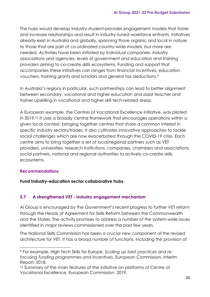The hubs would develop industry-student-provider engagement models that foster and increase relationships and result in industry-tuned workforce entrants. Initiatives already exist in Australia and globally, spanning those organic and local in nature to those that are part of co-ordinated country-wide models, but more are needed. Activities have been initiated by individual companies, industry associations and agencies, levels of government and education and training providers aiming to co-create skills ecosystems. Funding and support that accompanies these initiatives can ranges from financial incentives, education vouchers, training grants and scholars and general tax deductions.<sup>9</sup>

In Australia's regions in particular, such partnerships can lead to better alignment between secondary, vocational and higher education and assist teacher and trainer upskilling in vocational and higher skill tech-related areas.

A European example, the Centres of Vocational Excellence initiative, was piloted in 2019.<sup>10</sup> It uses a broadly central framework that encourages operations within a given local context, bringing together centres that share a common interest in specific industry sectors/trades. It also cultivates innovative approaches to tackle social challenges which are now exacerbated through the COVID-19 crisis. Each centre aims to bring together a set of local/regional partners such as VET providers, universities, research institutions, companies, chambers and associations, social partners, national and regional authorities to actively co-create skills ecosystems.

#### *Recommendations*

**Fund Industry-education sector collaborative hubs.**

#### **5.7 A strengthened VET - industry engagement mechanism**

Ai Group is encouraged by the Government's recent progress to further VET reform through the Heads of Agreement for Skills Reform between the Commonwealth and the States. The activity promises to address a number of the system-wide issues identified in major reviews commissioned over the past few years.

The National Skills Commission has been a crucial new component of the revised architecture for VET. It has a broad number of functions, including the provision of

<sup>9</sup> For example, High Tech Skills for Europe. *Scaling up best practices and refocusing funding programmes and incentives*, European Commission, Interim Report, 2018.

<sup>&</sup>lt;sup>10</sup> Summary of the main features of the initiative on platforms of Centre of Vocational Excellence, European Commission, 2019.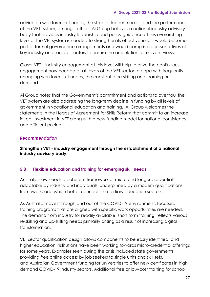advice on workforce skill needs, the state of labour markets and the performance of the VET system, amongst others. Ai Group believes a national industry advisory body that provides industry leadership and policy guidance at this overarching level of the VET system is needed to strengthen its effectiveness. It would become part of formal governance arrangements and would comprise representatives of key industry and societal sectors to ensure the articulation of relevant views.

Closer VET – industry engagement at this level will help to drive the continuous engagement now needed at all levels of the VET sector to cope with frequently changing workforce skill needs, the constant of re-skilling and learning on demand.

Ai Group notes that the Government's commitment and actions to overhaul the VET system are also addressing the long-term decline in funding by all levels of government in vocational education and training. Ai Group welcomes the statements in the Heads of Agreement for Skills Reform that commit to an increase in real investment in VET along with a new funding model for national consistency and efficient pricing.

#### *Recommendation*

**Strengthen VET - industry engagement through the establishment of a national industry advisory body.**

#### **5.8 Flexible education and training for emerging skill needs**

Australia now needs a coherent framework of micro and longer credentials, adaptable by industry and individuals, underpinned by a modern qualifications framework, and which better connects the tertiary education sectors.

As Australia moves through and out of the COVID-19 environment, focussed training programs that are aligned with specific work opportunities are needed. The demand from industry for readily available, short form training, reflects various re-skilling and up-skilling needs primarily arising as a result of increasing digital transformation.

VET sector qualification design allows components to be easily identified, and higher education institutions have been working towards micro-credential offerings for some years. Examples seen during the crisis included state governments providing free online access by job seekers to single units and skill sets, and Australian Government funding for universities to offer new certificates in high demand COVID-19 industry sectors. Additional free or low-cost training for school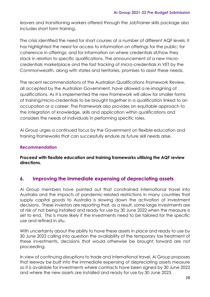leavers and transitioning workers offered through the JobTrainer skills package also includes short form training.

The crisis identified the need for short courses at a number of different AQF levels; it has highlighted the need for access to information on offerings for the public; for coherence in offerings; and for information on where credentials sit/how they stack in relation to specific qualifications. The announcement of a new microcredentials marketplace and the fast tracking of micro-credentials in VET by the Commonwealth, along with states and territories, promises to assist these needs.

The recent recommendations of the Australian Qualifications Framework Review, all accepted by the Australian Government, have allowed a re-imagining of qualifications. As it is implemented the new Framework will allow for smaller forms of training/micro-credentials to be brought together in a qualification linked to an occupation or a career. The Framework also provides an equitable approach to the integration of knowledge, skills and application within qualifications and considers the needs of individuals in performing specific roles.

Ai Group urges a continued focus by the Government on flexible education and training frameworks that can successfully endure as future skill needs arise.

#### *Recommendation*

**Proceed with flexible education and training frameworks utilising the AQF review directions.**

# **6. Improving the immediate expensing of depreciating assets**

Ai Group members have pointed out that constrained international travel into Australia and the impacts of pandemic-related restrictions in many countries that supply capital goods to Australia is slowing down the activation of investment decisions. These investors are reporting that, as a result, some large investments are at risk of not being installed and ready for use by 30 June 2022 when the measure is set to end. This is more likely if the investments need to be tailored for the specific use and refined in situ.

With uncertainty about the ability to have these assets in place and ready to use by 30 June 2022 calling into question the availability of the temporary tax treatment of these investments, decisions that would otherwise be brought forward are not proceeding.

In view of continuing disruptions to trade and international travel, Ai Group proposes that leeway be built into the immediate expensing of depreciating assets measure so it is available for investments where contracts have been signed by 30 June 2022 and where the new assets are installed and ready for use by 30 June 2023.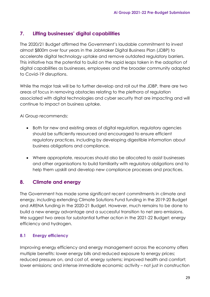# **7. Lifting businesses' digital capabilities**

The 2020/21 Budget affirmed the Government's laudable commitment to invest almost \$800m over four years in the JobMaker Digital Business Plan (JDBP) to accelerate digital technology uptake and remove outdated regulatory barriers. This initiative has the potential to build on the rapid leaps taken in the adoption of digital capabilities as businesses, employees and the broader community adapted to Covid-19 disruptions.

While the major task will be to further develop and roll out the JDBP, there are two areas of focus in removing obstacles relating to the plethora of regulation associated with digital technologies and cyber security that are impacting and will continue to impact on business uptake.

Ai Group recommends:

- Both for new and existing areas of digital regulation, regulatory agencies should be sufficiently resourced and encouraged to ensure efficient regulatory practices, including by developing digestible information about business obligations and compliance.
- Where appropriate, resources should also be allocated to assist businesses and other organisations to build familiarity with regulatory obligations and to help them upskill and develop new compliance processes and practices.

# **8. Climate and energy**

The Government has made some significant recent commitments in climate and energy, including extending Climate Solutions Fund funding in the 2019-20 Budget and ARENA funding in the 2020-21 Budget. However, much remains to be done to build a new energy advantage and a successful transition to net zero emissions. We suggest two areas for substantial further action in the 2021-22 Budget: energy efficiency and hydrogen.

# **8.1 Energy efficiency**

Improving energy efficiency and energy management across the economy offers multiple benefits: lower energy bills and reduced exposure to energy prices; reduced pressure on, and cost of, energy systems; improved health and comfort; lower emissions; and intense immediate economic activity – not just in construction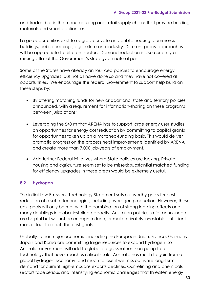and trades, but in the manufacturing and retail supply chains that provide building materials and smart appliances.

Large opportunities exist to upgrade private and public housing, commercial buildings, public buildings, agriculture and industry. Different policy approaches will be appropriate to different sectors. Demand reduction is also currently a missing pillar of the Government's strategy on natural gas.

Some of the States have already announced policies to encourage energy efficiency upgrades, but not all have done so and they have not covered all opportunities. We encourage the federal Government to support help build on these steps by:

- By offering matching funds for new or additional state and territory policies announced, with a requirement for information-sharing on these programs between jurisdictions;
- Leveraging the \$43 m that ARENA has to support large energy user studies on opportunities for energy cost reduction by committing to capital grants for opportunities taken up on a matched-funding basis. This would deliver dramatic progress on the process heat improvements identified by ARENA and create more than 7,000 job-years of employment.
- Add further Federal initiatives where State policies are lacking. Private housing and agriculture seem set to be missed; substantial matched funding for efficiency upgrades in these areas would be extremely useful.

# **8.2 Hydrogen**

The initial Low Emissions Technology Statement sets out worthy goals for cost reduction of a set of technologies, including hydrogen production. However, these cost goals will only be met with the combination of strong learning effects and many doublings in global installed capacity. Australian policies so far announced are helpful but will not be enough to fund, or make privately investable, sufficient mass rollout to reach the cost goals.

Globally, other major economies including the European Union, France, Germany, Japan and Korea are committing large resources to expand hydrogen, so Australian investment will add to global progress rather than going to a technology that never reaches critical scale. Australia has much to gain from a global hydrogen economy, and much to lose if we miss out while long-term demand for current high-emissions exports declines. Our refining and chemicals sectors face serious and intensifying economic challenges that threaten energy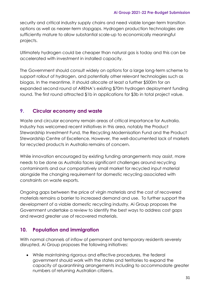security and critical industry supply chains and need viable longer-term transition options as well as nearer-term stopgaps. Hydrogen production technologies are sufficiently mature to allow substantial scale-up to economically meaningful projects.

Ultimately hydrogen could be cheaper than natural gas is today and this can be accelerated with investment in installed capacity.

The Government should consult widely on options for a large long-term scheme to support rollout of hydrogen, and potentially other relevant technologies such as biogas. In the meantime, it should allocate at least a further \$500m for an expanded second round of ARENA's existing \$70m hydrogen deployment funding round. The first round attracted \$1b in applications for \$3b in total project value.

# **9. Circular economy and waste**

Waste and circular economy remain areas of critical importance for Australia. Industry has welcomed recent initiatives in this area, notably the Product Stewardship Investment Fund, the Recycling Modernisation Fund and the Product Stewardship Centre of Excellence. However, the well-documented lack of markets for recycled products in Australia remains of concern.

While innovation encouraged by existing funding arrangements may assist, more needs to be done as Australia faces significant challenges around recycling contaminants and our comparatively small market for recycled input material alongside the changing requirement for domestic recycling associated with constraints on waste exports.

Ongoing gaps between the price of virgin materials and the cost of recovered materials remains a barrier to increased demand and use. To further support the development of a viable domestic recycling industry, Ai Group proposes the Government undertake a review to identify the best ways to address cost gaps and reward greater use of recovered materials.

# **10. Population and immigration**

With normal channels of inflow of permanent and temporary residents severely disrupted, Ai Group proposes the following initiatives:

• While maintaining rigorous and effective procedures, the federal government should work with the states and territories to expand the capacity of quarantining arrangements including to accommodate greater numbers of returning Australian citizens.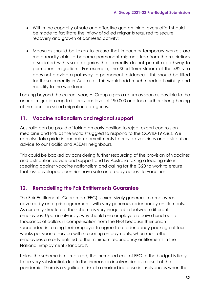- Within the capacity of safe and effective quarantining, every effort should be made to facilitate the inflow of skilled migrants required to secure recovery and growth of domestic activity;
- Measures should be taken to ensure that in-country temporary workers are more readily able to become permanent migrants free from the restrictions associated with visa categories that currently do not permit a pathway to permanent migration. For example, the Short-Term stream of the 482 visa does not provide a pathway to permanent residence – this should be lifted for those currently in Australia. This would add much-needed flexibility and mobility to the workforce.

Looking beyond the current year, Ai Group urges a return as soon as possible to the annual migration cap to its previous level of 190,000 and for a further strengthening of the focus on skilled migration categories.

# **11. Vaccine nationalism and regional support**

Australia can be proud of taking an early position to reject export controls on medicine and PPE as the world struggled to respond to the COVID-19 crisis. We can also take pride in our quick commitments to provide vaccines and distribution advice to our Pacific and ASEAN neighbours.

This could be backed by considering further resourcing of the provision of vaccines and distribution advice and support and by Australia taking a leading role in speaking against vaccine nationalism and calling for the G20 to work to ensure that less developed countries have safe and ready access to vaccines.

# **12. Remodelling the Fair Entitlements Guarantee**

The Fair Entitlements Guarantee (FEG) is excessively generous to employees covered by enterprise agreements with very generous redundancy entitlements. As currently structured, the scheme is very inequitable between different employees. Upon insolvency, why should one employee receive hundreds of thousands of dollars in compensation from the FEG because their union succeeded in forcing their employer to agree to a redundancy package of four weeks per year of service with no ceiling on payments, when most other employees are only entitled to the minimum redundancy entitlements in the National Employment Standards?

Unless the scheme is restructured, the increased cost of FEG to the budget is likely to be very substantial, due to the increase in insolvencies as a result of the pandemic. There is a significant risk of a marked increase in insolvencies when the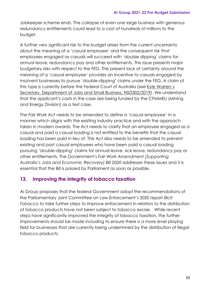Jobkeeper scheme ends. The collapse of even one large business with generous redundancy entitlements could lead to a cost of hundreds of millions to the budget.

A further very significant risk to the budget arises from the current uncertainty about the meaning of a 'casual employee' and the consequent risk that employees engaged as casuals will succeed with 'double dipping' claims for annual leave, redundancy pay and other entitlements. This issue presents major budgetary risks with respect to the FEG. The present lack of certainty around the meaning of a 'casual employee' provides an incentive to casuals engaged by insolvent businesses to pursue 'double-dipping' claims under the FEG. A claim of this type is currently before the Federal Court of Australia (see Kyle [Warren](https://aus01.safelinks.protection.outlook.com/?url=https%3A%2F%2Fwww.comcourts.gov.au%2Ffile%2FFederal%2FP%2FNSD302%2F2019%2Factions&data=04%7C01%7CPeter.Burn%40aigroup.com.au%7Cc6b891aebe9d4c5fcd8008d8c326a65b%7C44d2a60aa6b94f59a947db15a5e058c5%7C0%7C0%7C637473918048386340%7CUnknown%7CTWFpbGZsb3d8eyJWIjoiMC4wLjAwMDAiLCJQIjoiV2luMzIiLCJBTiI6Ik1haWwiLCJXVCI6Mn0%3D%7C1000&sdata=JC0lhwZnPYot92gIuSxKB1GKGMQTUFONTxVGYNSs%2B%2FQ%3D&reserved=0) v Secretary, Department of Jobs and Small Business, [NSD302/2019\)](https://aus01.safelinks.protection.outlook.com/?url=https%3A%2F%2Fwww.comcourts.gov.au%2Ffile%2FFederal%2FP%2FNSD302%2F2019%2Factions&data=04%7C01%7CPeter.Burn%40aigroup.com.au%7Cc6b891aebe9d4c5fcd8008d8c326a65b%7C44d2a60aa6b94f59a947db15a5e058c5%7C0%7C0%7C637473918048386340%7CUnknown%7CTWFpbGZsb3d8eyJWIjoiMC4wLjAwMDAiLCJQIjoiV2luMzIiLCJBTiI6Ik1haWwiLCJXVCI6Mn0%3D%7C1000&sdata=JC0lhwZnPYot92gIuSxKB1GKGMQTUFONTxVGYNSs%2B%2FQ%3D&reserved=0). We understand that the applicant's costs in the case are being funded by the CFMMEU (Mining and Energy Division) as a test case.

The Fair Work Act needs to be amended to define a 'casual employee' in a manner which aligns with the existing industry practice and with the approach taken in modern awards. The Act needs to clarify that an employee engaged as a casual and paid a casual loading is not entitled to the benefits that the casual loading has been paid in lieu of. The Act also needs to be amended to prevent existing and past casual employees who have been paid a casual loading pursuing 'double-dipping' claims for annual leave, sick leave, redundancy pay or other entitlements. The Government's *Fair Work Amendment (Supporting Australia's Jobs and Economic Recovery) Bill 2020* addresses these issues and it is essential that the Bill is passed by Parliament as soon as possible.

# **13. Improving the integrity of tobacco taxation**

Ai Group proposes that the federal Government adopt the recommendations of the Parliamentary Joint Committee on Law Enforcement's 2020 report *Illicit Tobacco* to take further steps to improve enforcement in relation to the distribution of tobacco products have not been subject to tobacco excise. While recent steps have significantly improved the integrity of tobacco taxation, the further improvements should be made including to ensure there is a more level playing field for businesses that are currently being undermined by the distribution of illegal tobacco products.